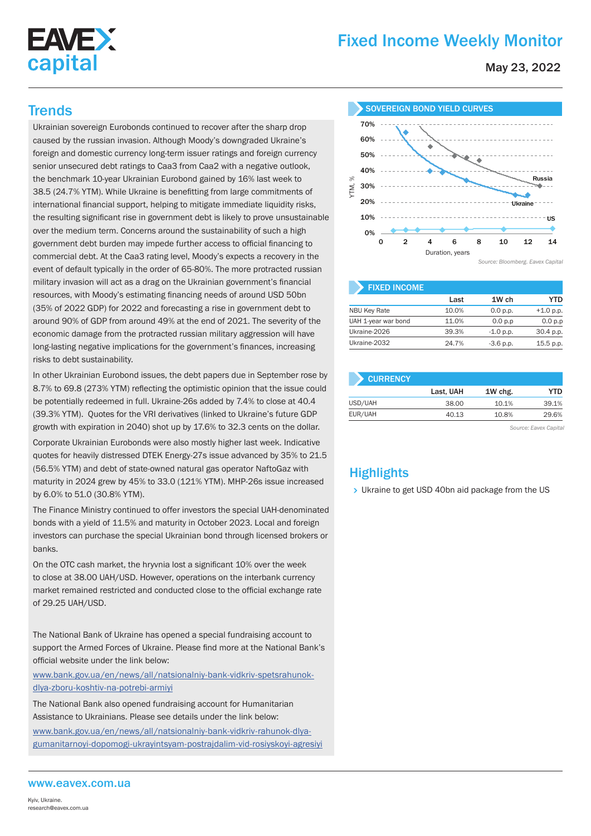

# Fixed Income Weekly Monitor

May 23, 2022

Ukrainian sovereign Eurobonds continued to recover after the sharp drop caused by the russian invasion. Although Moody's downgraded Ukraine's foreign and domestic currency long-term issuer ratings and foreign currency senior unsecured debt ratings to Caa3 from Caa2 with a negative outlook, the benchmark 10-year Ukrainian Eurobond gained by 16% last week to 38.5 (24.7% YTM). While Ukraine is benefitting from large commitments of international financial support, helping to mitigate immediate liquidity risks, the resulting significant rise in government debt is likely to prove unsustainable over the medium term. Concerns around the sustainability of such a high government debt burden may impede further access to official financing to commercial debt. At the Caa3 rating level, Moody's expects a recovery in the event of default typically in the order of 65-80%. The more protracted russian military invasion will act as a drag on the Ukrainian government's financial resources, with Moody's estimating financing needs of around USD 50bn (35% of 2022 GDP) for 2022 and forecasting a rise in government debt to around 90% of GDP from around 49% at the end of 2021. The severity of the economic damage from the protracted russian military aggression will have long-lasting negative implications for the government's finances, increasing risks to debt sustainability.

In other Ukrainian Eurobond issues, the debt papers due in September rose by 8.7% to 69.8 (273% YTM) reflecting the optimistic opinion that the issue could be potentially redeemed in full. Ukraine-26s added by 7.4% to close at 40.4 (39.3% YTM). Quotes for the VRI derivatives (linked to Ukraine's future GDP growth with expiration in 2040) shot up by 17.6% to 32.3 cents on the dollar.

Corporate Ukrainian Eurobonds were also mostly higher last week. Indicative quotes for heavily distressed DTEK Energy-27s issue advanced by 35% to 21.5 (56.5% YTM) and debt of state-owned natural gas operator NaftoGaz with maturity in 2024 grew by 45% to 33.0 (121% YTM). MHP-26s issue increased by 6.0% to 51.0 (30.8% YTM).

The Finance Ministry continued to offer investors the special UAH-denominated bonds with a yield of 11.5% and maturity in October 2023. Local and foreign investors can purchase the special Ukrainian bond through licensed brokers or banks.

On the OTC cash market, the hryvnia lost a significant 10% over the week to close at 38.00 UAH/USD. However, operations on the interbank currency market remained restricted and conducted close to the official exchange rate of 29.25 UAH/USD.

The National Bank of Ukraine has opened a special fundraising account to support the Armed Forces of Ukraine. Please find more at the National Bank's official website under the link below:

www.bank.gov.ua/en/news/all/natsionalniy-bank-vidkriv-spetsrahunokdlya-zboru-koshtiv-na-potrebi-armiyi

The National Bank also opened fundraising account for Humanitarian Assistance to Ukrainians. Please see details under the link below:

www.bank.gov.ua/en/news/all/natsionalniy-bank-vidkriv-rahunok-dlyagumanitarnoyi-dopomogi-ukrayintsyam-postrajdalim-vid-rosiyskoyi-agresiyi



| <b>FIXED INCOME.</b> |       |             |             |
|----------------------|-------|-------------|-------------|
|                      | Last  | 1W ch       | YTD         |
| <b>NBU Key Rate</b>  | 10.0% | 0.0 p.p.    | $+1.0 p.p.$ |
| UAH 1-year war bond  | 11.0% | 0.0 p.p     | 0.0 p.p     |
| Ukraine-2026         | 39.3% | $-1.0 p.p.$ | 30.4 p.p.   |
| Ukraine-2032         | 24.7% | $-3.6$ p.p. | 15.5 p.p.   |

| <b>CURRENCY</b> |         |       |  |  |  |  |  |  |  |
|-----------------|---------|-------|--|--|--|--|--|--|--|
| Last, UAH       | 1W chg. | YTD   |  |  |  |  |  |  |  |
| 38.00           | 10.1%   | 39.1% |  |  |  |  |  |  |  |
| 40.13           | 10.8%   | 29.6% |  |  |  |  |  |  |  |
|                 |         |       |  |  |  |  |  |  |  |

*Source: Eavex Capital*

## **Highlights**

> Ukraine to get USD 40bn aid package from the US

#### www.eavex.com.ua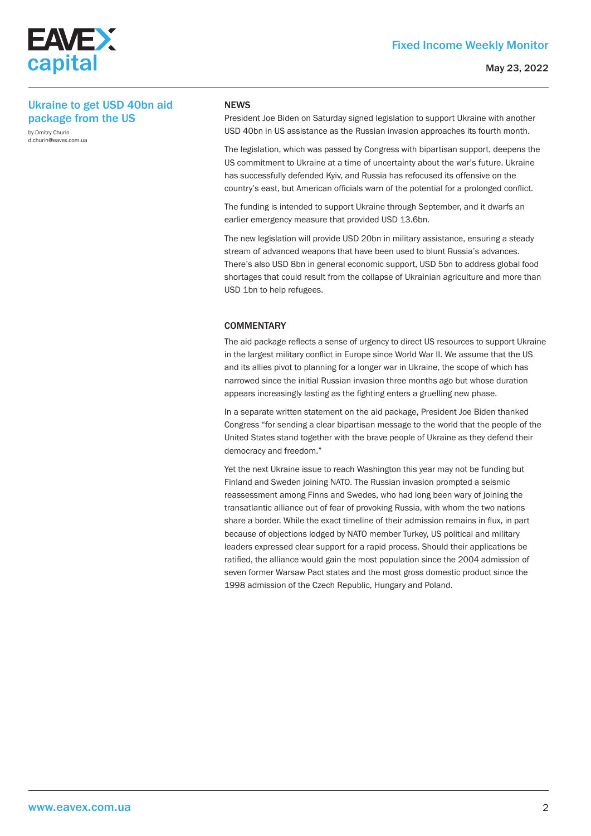

#### May 23, 2022

### Ukraine to get USD 40bn aid package from the US

by Dmitry Churin d.churin@eavex.com.ua

#### **NEWS**

President Joe Biden on Saturday signed legislation to support Ukraine with another USD 40bn in US assistance as the Russian invasion approaches its fourth month.

The legislation, which was passed by Congress with bipartisan support, deepens the US commitment to Ukraine at a time of uncertainty about the war's future. Ukraine has successfully defended Kyiv, and Russia has refocused its offensive on the country's east, but American officials warn of the potential for a prolonged conflict.

The funding is intended to support Ukraine through September, and it dwarfs an earlier emergency measure that provided USD 13.6bn.

The new legislation will provide USD 20bn in military assistance, ensuring a steady stream of advanced weapons that have been used to blunt Russia's advances. There's also USD 8bn in general economic support, USD 5bn to address global food shortages that could result from the collapse of Ukrainian agriculture and more than USD 1bn to help refugees.

#### **COMMENTARY**

The aid package reflects a sense of urgency to direct US resources to support Ukraine in the largest military conflict in Europe since World War II. We assume that the US and its allies pivot to planning for a longer war in Ukraine, the scope of which has narrowed since the initial Russian invasion three months ago but whose duration appears increasingly lasting as the fighting enters a gruelling new phase.

In a separate written statement on the aid package, President Joe Biden thanked Congress "for sending a clear bipartisan message to the world that the people of the United States stand together with the brave people of Ukraine as they defend their democracy and freedom."

Yet the next Ukraine issue to reach Washington this year may not be funding but Finland and Sweden joining NATO. The Russian invasion prompted a seismic reassessment among Finns and Swedes, who had long been wary of joining the transatlantic alliance out of fear of provoking Russia, with whom the two nations share a border. While the exact timeline of their admission remains in flux, in part because of objections lodged by NATO member Turkey, US political and military leaders expressed clear support for a rapid process. Should their applications be ratified, the alliance would gain the most population since the 2004 admission of seven former Warsaw Pact states and the most gross domestic product since the 1998 admission of the Czech Republic, Hungary and Poland.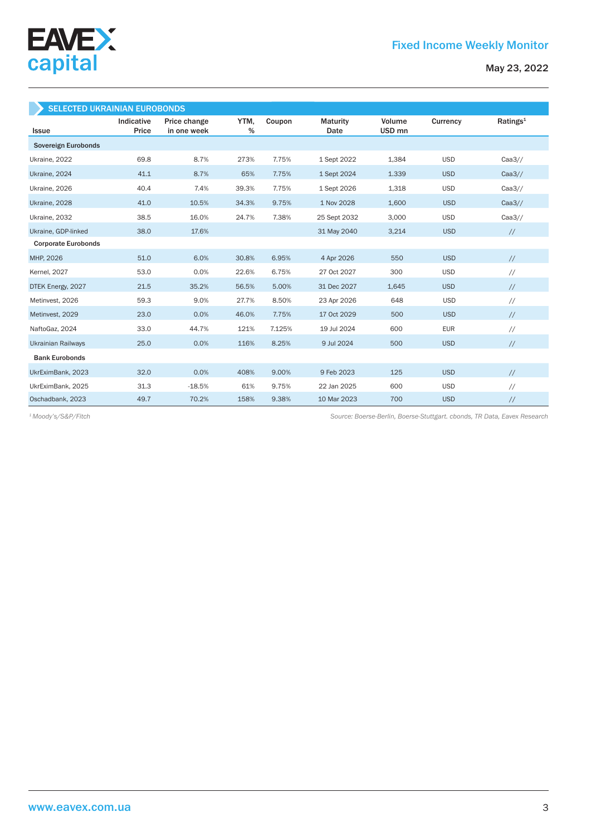

| <b>SELECTED UKRAINIAN EUROBONDS</b> |                     |                             |           |        |                  |                             |            |                      |  |  |
|-------------------------------------|---------------------|-----------------------------|-----------|--------|------------------|-----------------------------|------------|----------------------|--|--|
| <b>Issue</b>                        | Indicative<br>Price | Price change<br>in one week | YTM.<br>% | Coupon | Maturity<br>Date | Volume<br>USD <sub>mn</sub> | Currency   | Ratings <sup>1</sup> |  |  |
| Sovereign Eurobonds                 |                     |                             |           |        |                  |                             |            |                      |  |  |
| Ukraine, 2022                       | 69.8                | 8.7%                        | 273%      | 7.75%  | 1 Sept 2022      | 1,384                       | <b>USD</b> | Caa3/                |  |  |
| Ukraine, 2024                       | 41.1                | 8.7%                        | 65%       | 7.75%  | 1 Sept 2024      | 1.339                       | <b>USD</b> | Caa3/                |  |  |
| Ukraine, 2026                       | 40.4                | 7.4%                        | 39.3%     | 7.75%  | 1 Sept 2026      | 1,318                       | <b>USD</b> | Caa3/                |  |  |
| Ukraine, 2028                       | 41.0                | 10.5%                       | 34.3%     | 9.75%  | 1 Nov 2028       | 1,600                       | <b>USD</b> | Caa3/                |  |  |
| Ukraine, 2032                       | 38.5                | 16.0%                       | 24.7%     | 7.38%  | 25 Sept 2032     | 3,000                       | <b>USD</b> | Caa3/                |  |  |
| Ukraine, GDP-linked                 | 38.0                | 17.6%                       |           |        | 31 May 2040      | 3,214                       | <b>USD</b> | $\frac{1}{2}$        |  |  |
| <b>Corporate Eurobonds</b>          |                     |                             |           |        |                  |                             |            |                      |  |  |
| MHP, 2026                           | 51.0                | 6.0%                        | 30.8%     | 6.95%  | 4 Apr 2026       | 550                         | <b>USD</b> | $\frac{1}{2}$        |  |  |
| <b>Kernel</b> , 2027                | 53.0                | 0.0%                        | 22.6%     | 6.75%  | 27 Oct 2027      | 300                         | <b>USD</b> | $\frac{1}{2}$        |  |  |
| DTEK Energy, 2027                   | 21.5                | 35.2%                       | 56.5%     | 5.00%  | 31 Dec 2027      | 1,645                       | <b>USD</b> | $\frac{1}{2}$        |  |  |
| Metinvest, 2026                     | 59.3                | 9.0%                        | 27.7%     | 8.50%  | 23 Apr 2026      | 648                         | <b>USD</b> | $\frac{1}{2}$        |  |  |
| Metinvest, 2029                     | 23.0                | 0.0%                        | 46.0%     | 7.75%  | 17 Oct 2029      | 500                         | <b>USD</b> | $\frac{1}{2}$        |  |  |
| NaftoGaz, 2024                      | 33.0                | 44.7%                       | 121%      | 7.125% | 19 Jul 2024      | 600                         | <b>EUR</b> | $\frac{1}{2}$        |  |  |
| <b>Ukrainian Railways</b>           | 25.0                | 0.0%                        | 116%      | 8.25%  | 9 Jul 2024       | 500                         | <b>USD</b> | $\frac{1}{2}$        |  |  |
| <b>Bank Eurobonds</b>               |                     |                             |           |        |                  |                             |            |                      |  |  |
| UkrEximBank, 2023                   | 32.0                | 0.0%                        | 408%      | 9.00%  | 9 Feb 2023       | 125                         | <b>USD</b> | $\frac{1}{2}$        |  |  |
| UkrEximBank, 2025                   | 31.3                | $-18.5%$                    | 61%       | 9.75%  | 22 Jan 2025      | 600                         | <b>USD</b> | $\frac{1}{2}$        |  |  |
| Oschadbank, 2023                    | 49.7                | 70.2%                       | 158%      | 9.38%  | 10 Mar 2023      | 700                         | <b>USD</b> | $\sqrt{}$            |  |  |

*Source: Boerse-Berlin, Boerse-Stuttgart. cbonds, TR Data, Eavex Research 1 Moody's/S&P/Fitch*